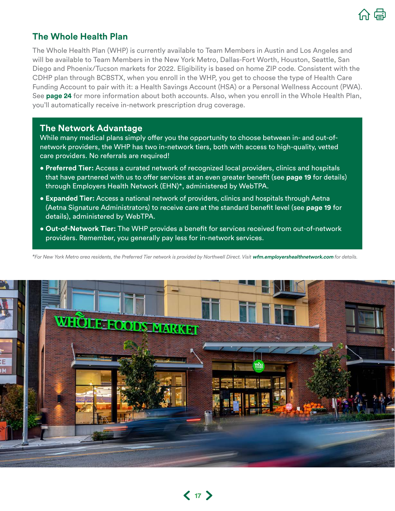

## **The Whole Health Plan**

The Whole Health Plan (WHP) is currently available to Team Members in Austin and Los Angeles and will be available to Team Members in the New York Metro, Dallas-Fort Worth, Houston, Seattle, San Diego and Phoenix/Tucson markets for 2022. Eligibility is based on home ZIP code. Consistent with the CDHP plan through BCBSTX, when you enroll in the WHP, you get to choose the type of Health Care Funding Account to pair with it: a Health Savings Account (HSA) or a Personal Wellness Account (PWA). See **[page 2](#page--1-0)4** for more information about both accounts. Also, when you enroll in the Whole Health Plan, you'll automatically receive in-network prescription drug coverage.

## **The Network Advantage**

While many medical plans simply offer you the opportunity to choose between in- and out-ofnetwork providers, the WHP has two in-network tiers, both with access to high-quality, vetted care providers. No referrals are required!

- **Preferred Tier:** Access a curated network of recognized local providers, clinics and hospitals that have partnered with us to offer services at an even greater benefit (see **[page 1](#page-2-0)9** for details) through Employers Health Network (EHN)\*, administered by WebTPA.
- **Expanded Tier:** Access a national network of providers, clinics and hospitals through Aetna (Aetna Signature Administrators) to receive care at the standard benefit level (see **page 19** for details), administered by WebTPA.
- **Out-of-Network Tier:** The WHP provides a benefit for services received from out-of-network providers. Remember, you generally pay less for in-network services.

*\*For New York Metro area residents, the Preferred Tier network is provided by Northwell Direct. Visit* **[wfm.employershealthnetwork.com](http://wfm.employershealthnetwork.com)** *for details.*

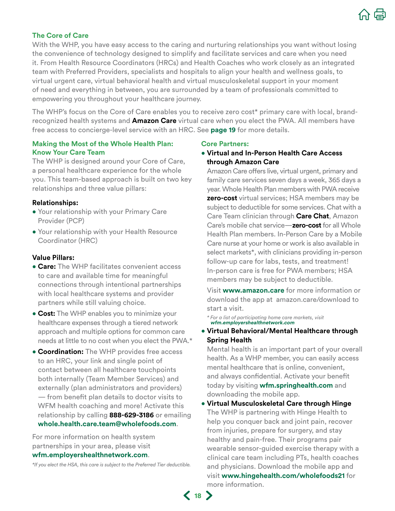

### **The Core of Care**

With the WHP, you have easy access to the caring and nurturing relationships you want without losing the convenience of technology designed to simplify and facilitate services and care when you need it. From Health Resource Coordinators (HRCs) and Health Coaches who work closely as an integrated team with Preferred Providers, specialists and hospitals to align your health and wellness goals, to virtual urgent care, virtual behavioral health and virtual musculoskeletal support in your moment of need and everything in between, you are surrounded by a team of professionals committed to empowering you throughout your healthcare journey.

The WHP's focus on the Core of Care enables you to receive zero cost\* primary care with local, brandrecognized health systems and **Amazon Care** virtual care when you elect the PWA. All members have free access to concierge-level service with an HRC. See **[page 1](#page-2-0)9** for more details.

### **Making the Most of the Whole Health Plan: Know Your Care Team**

The WHP is designed around your Core of Care, a personal healthcare experience for the whole you. This team-based approach is built on two key relationships and three value pillars:

### **Relationships:**

- Your relationship with your Primary Care Provider (PCP)
- Your relationship with your Health Resource Coordinator (HRC)

### **Value Pillars:**

- **Care:** The WHP facilitates convenient access to care and available time for meaningful connections through intentional partnerships with local healthcare systems and provider partners while still valuing choice.
- **Cost:** The WHP enables you to minimize your healthcare expenses through a tiered network approach and multiple options for common care needs at little to no cost when you elect the PWA.\*
- **Coordination:** The WHP provides free access to an HRC, your link and single point of contact between all healthcare touchpoints both internally (Team Member Services) and externally (plan administrators and providers) — from benefit plan details to doctor visits to WFM health coaching and more! Activate this relationship by calling **888-629-3186** or emailing **[whole.health.care.team@wholefoods.com](mailto:whole.health.care.team%40wholefoods.com?subject=)**.

For more information on health system partnerships in your area, please visit **[wfm.employershealthnetwork.com](http://wfm.employershealthnetwork.com)**.

*\*If you elect the HSA, this care is subject to the Preferred Tier deductible.* 

#### **Core Partners:**

• **Virtual and In-Person Health Care Access through Amazon Care** 

Amazon Care offers live, virtual urgent, primary and family care services seven days a week, 365 days a year. Whole Health Plan members with PWA receive **zero-cost** virtual services; HSA members may be subject to deductible for some services. Chat with a Care Team clinician through **Care Chat**, Amazon Care's mobile chat service—**zero-cost** for all Whole Health Plan members. In-Person Care by a Mobile Care nurse at your home or work is also available in select markets\*, with clinicians providing in-person follow-up care for labs, tests, and treatment! In-person care is free for PWA members; HSA members may be subject to deductible.

Visit **[www.amazon.care](http://www.amazon.care)** for more information or download the app at amazon.care/download to start a visit.

*\* For a list of participating home care markets, visit*  **[wfm.employershealthnetwork.com](http://wfm.employershealthnetwork.com)** 

• **Virtual Behavioral/Mental Healthcare through Spring Health**

Mental health is an important part of your overall health. As a WHP member, you can easily access mental healthcare that is online, convenient, and always confidential. Activate your benefit today by visiting **wfm.springhealth.com** and downloading the mobile app.

• **Virtual Musculoskeletal Care through Hinge** The WHP is partnering with Hinge Health to help you conquer back and joint pain, recover from injuries, prepare for surgery, and stay healthy and pain-free. Their programs pair wearable sensor-guided exercise therapy with a clinical care team including PTs, health coaches and physicians. Download the mobile app and visit **[www.hingehealth.com/wholefoods21](http://www.hingehealth.com/wholefoods21)** for more information.

**18**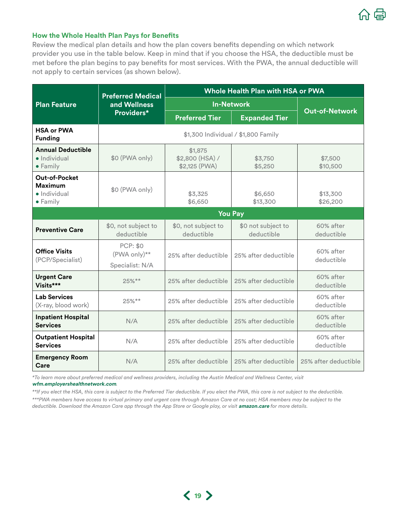

### <span id="page-2-0"></span>**How the Whole Health Plan Pays for Benefits**

Review the medical plan details and how the plan covers benefits depending on which network provider you use in the table below. Keep in mind that if you choose the HSA, the deductible must be met before the plan begins to pay benefits for most services. With the PWA, the annual deductible will not apply to certain services (as shown below).

|                                                                            | <b>Preferred Medical</b><br>and Wellness<br>Providers* | Whole Health Plan with HSA or PWA           |                                  |                         |  |  |
|----------------------------------------------------------------------------|--------------------------------------------------------|---------------------------------------------|----------------------------------|-------------------------|--|--|
| <b>Plan Feature</b>                                                        |                                                        | <b>In-Network</b>                           |                                  |                         |  |  |
|                                                                            |                                                        | <b>Preferred Tier</b>                       | <b>Expanded Tier</b>             | <b>Out-of-Network</b>   |  |  |
| <b>HSA or PWA</b><br><b>Funding</b>                                        | \$1,300 Individual / \$1,800 Family                    |                                             |                                  |                         |  |  |
| <b>Annual Deductible</b><br>• Individual<br>• Family                       | \$0 (PWA only)                                         | \$1,875<br>\$2,800 (HSA) /<br>\$2,125 (PWA) | \$3,750<br>\$5,250               | \$7,500<br>\$10,500     |  |  |
| <b>Out-of-Pocket</b><br><b>Maximum</b><br>· Individual<br>$\bullet$ Family | \$0 (PWA only)                                         | \$3,325<br>\$6,650                          | \$6,650<br>\$13,300              | \$13,300<br>\$26,200    |  |  |
|                                                                            | <b>You Pay</b>                                         |                                             |                                  |                         |  |  |
| <b>Preventive Care</b>                                                     | \$0, not subject to<br>deductible                      | \$0, not subject to<br>deductible           | \$0 not subject to<br>deductible | 60% after<br>deductible |  |  |
| <b>Office Visits</b><br>(PCP/Specialist)                                   | <b>PCP: \$0</b><br>(PWA only)**<br>Specialist: N/A     | 25% after deductible                        | 25% after deductible             | 60% after<br>deductible |  |  |
| <b>Urgent Care</b><br>Visits***                                            | 25%**                                                  | 25% after deductible                        | 25% after deductible             | 60% after<br>deductible |  |  |
| <b>Lab Services</b><br>(X-ray, blood work)                                 | 25%**                                                  | 25% after deductible                        | 25% after deductible             | 60% after<br>deductible |  |  |
| <b>Inpatient Hospital</b><br><b>Services</b>                               | N/A                                                    | 25% after deductible                        | 25% after deductible             | 60% after<br>deductible |  |  |
| <b>Outpatient Hospital</b><br><b>Services</b>                              | N/A                                                    | 25% after deductible                        | 25% after deductible             | 60% after<br>deductible |  |  |
| <b>Emergency Room</b><br>Care                                              | N/A                                                    | 25% after deductible                        | 25% after deductible             | 25% after deductible    |  |  |

*\*To learn more about preferred medical and wellness providers, including the Austin Medical and Wellness Center, visit*  **[wfm.employershealthnetwork.com](http://wfm.employershealthnetwork.com)***.*

*\*\*If you elect the HSA, this care is subject to the Preferred Tier deductible. If you elect the PWA, this care is not subject to the deductible. \*\*\*PWA members have access to virtual primary and urgent care through Amazon Care at no cost; HSA members may be subject to the deductible. Download the Amazon Care app through the App Store or Google play, or visit* **[amazon.care](http://amazon.care)** *for more details.*

**19**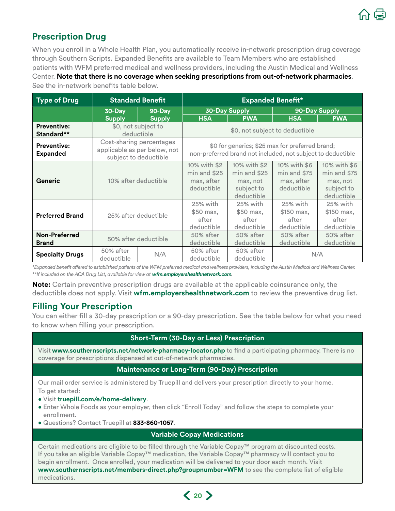

# **Prescription Drug**

When you enroll in a Whole Health Plan, you automatically receive in-network prescription drug coverage through Southern Scripts. Expanded Benefits are available to Team Members who are established patients with WFM preferred medical and wellness providers, including the Austin Medical and Wellness Center. **Note that there is no coverage when seeking prescriptions from out-of-network pharmacies**. See the in-network benefits table below.

| <b>Type of Drug</b>                   | <b>Standard Benefit</b>                                                           |               | <b>Expanded Benefit*</b>                                                                                       |                                                                        |                                                            |                                                                        |
|---------------------------------------|-----------------------------------------------------------------------------------|---------------|----------------------------------------------------------------------------------------------------------------|------------------------------------------------------------------------|------------------------------------------------------------|------------------------------------------------------------------------|
|                                       | 30-Day                                                                            | 90-Day        | <b>30-Day Supply</b>                                                                                           |                                                                        | 90-Day Supply                                              |                                                                        |
|                                       | <b>Supply</b>                                                                     | <b>Supply</b> | <b>HSA</b>                                                                                                     | <b>PWA</b>                                                             | <b>HSA</b>                                                 | <b>PWA</b>                                                             |
| <b>Preventive:</b><br>Standard**      | \$0, not subject to<br>deductible                                                 |               | \$0, not subject to deductible                                                                                 |                                                                        |                                                            |                                                                        |
| <b>Preventive:</b><br><b>Expanded</b> | Cost-sharing percentages<br>applicable as per below, not<br>subject to deductible |               | \$0 for generics; \$25 max for preferred brand;<br>non-preferred brand not included, not subject to deductible |                                                                        |                                                            |                                                                        |
| Generic                               | 10% after deductible                                                              |               | 10% with \$2<br>$min$ and \$25<br>max, after<br>deductible                                                     | 10% with \$2<br>$min$ and \$25<br>max, not<br>subject to<br>deductible | 10% with \$6<br>$min$ and \$75<br>max, after<br>deductible | 10% with \$6<br>$min$ and \$75<br>max, not<br>subject to<br>deductible |
| <b>Preferred Brand</b>                | 25% after deductible                                                              |               | 25% with<br>\$50 max,<br>after<br>deductible                                                                   | 25% with<br>\$50 max.<br>after<br>deductible                           | 25% with<br>\$150 max.<br>after<br>deductible              | 25% with<br>\$150 max,<br>after<br>deductible                          |
| Non-Preferred<br><b>Brand</b>         | 50% after deductible                                                              |               | 50% after<br>deductible                                                                                        | 50% after<br>deductible                                                | 50% after<br>deductible                                    | 50% after<br>deductible                                                |
| <b>Specialty Drugs</b>                | 50% after<br>deductible                                                           | N/A           | 50% after<br>deductible                                                                                        | 50% after<br>deductible                                                |                                                            | N/A                                                                    |

*\*Expanded benefit offered to established patients of the WFM preferred medical and wellness providers, including the Austin Medical and Wellness Center. \*\*If included on the ACA Drug List, available for view at* **[wfm.employershealthnetwork.com](http://wfm.employershealthnetwork.com)***.*

**Note:** Certain preventive prescription drugs are available at the applicable coinsurance only, the deductible does not apply. Visit **[wfm.employershealthnetwork.com](http://wfm.employershealthnetwork.com)** to review the preventive drug list.

## **Filling Your Prescription**

You can either fill a 30-day prescription or a 90-day prescription. See the table below for what you need to know when filling your prescription.

### **Short-Term (30-Day or Less) Prescription**

Visit **www.southernscripts.net/network-pharmacy-locator.php** to find a participating pharmacy. There is no coverage for prescriptions dispensed at out-of-network pharmacies.

### **Maintenance or Long-Term (90-Day) Prescription**

Our mail order service is administered by Truepill and delivers your prescription directly to your home. To get started:

- Visit **[truepill.com/e/home-delivery](http://truepill.com/e/home-delivery)**.
- Enter Whole Foods as your employer, then click "Enroll Today" and follow the steps to complete your enrollment.
- Questions? Contact Truepill at **833-860-1057**.

## **Variable Copay Medications**

Certain medications are eligible to be filled through the Variable Copay™ program at discounted costs. If you take an eligible Variable Copay™ medication, the Variable Copay™ pharmacy will contact you to begin enrollment. Once enrolled, your medication will be delivered to your door each month. Visit **[www.southernscripts.net/members-direct.php?groupnumber=WFM](http://www.southernscripts.net/members-direct.php?groupnumber=WFM)** to see the complete list of eligible medications.